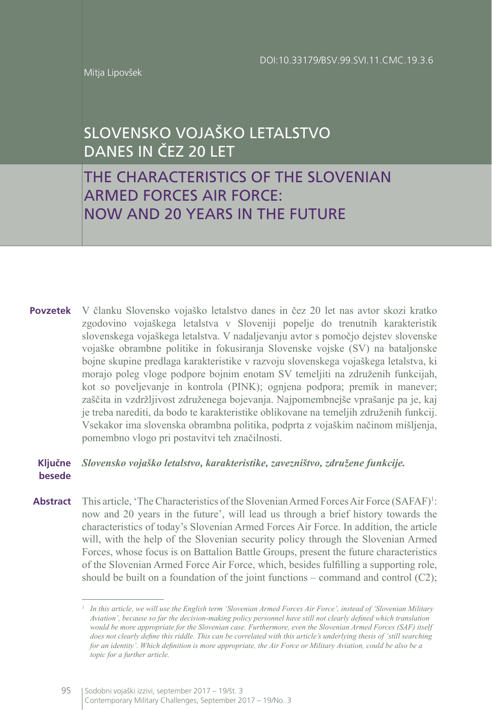Mitja Lipovšek

# SLOVENSKO VOJAŠKO LETALSTVO DANES IN ČEZ 20 LET

# THE CHARACTERISTICS OF THE SLOVENIAN ARMED FORCES AIR FORCE: NOW AND 20 YEARS IN THE FUTURE

V članku Slovensko vojaško letalstvo danes in čez 20 let nas avtor skozi kratko **Povzetek** zgodovino vojaškega letalstva v Sloveniji popelje do trenutnih karakteristik slovenskega vojaškega letalstva. V nadaljevanju avtor s pomočjo dejstev slovenske vojaške obrambne politike in fokusiranja Slovenske vojske (SV) na bataljonske bojne skupine predlaga karakteristike v razvoju slovenskega vojaškega letalstva, ki morajo poleg vloge podpore bojnim enotam SV temeljiti na združenih funkcijah, kot so poveljevanje in kontrola (PINK); ognjena podpora; premik in manever; zaščita in vzdržljivost združenega bojevanja. Najpomembnejše vprašanje pa je, kaj je treba narediti, da bodo te karakteristike oblikovane na temeljih združenih funkcij. Vsekakor ima slovenska obrambna politika, podprta z vojaškim načinom mišljenja, pomembno vlogo pri postavitvi teh značilnosti.

#### *Slovensko vojaško letalstvo, karakteristike, zavezništvo, združene funkcije.*  **Ključne besede**

This article, 'The Characteristics of the Slovenian Armed Forces Air Force (SAFAF)<sup>1</sup>: now and 20 years in the future', will lead us through a brief history towards the characteristics of today's Slovenian Armed Forces Air Force. In addition, the article will, with the help of the Slovenian security policy through the Slovenian Armed Forces, whose focus is on Battalion Battle Groups, present the future characteristics of the Slovenian Armed Force Air Force, which, besides fulfilling a supporting role, should be built on a foundation of the joint functions – command and control (C2); **Abstract**

*<sup>1</sup> In this article, we will use the English term 'Slovenian Armed Forces Air Force', instead of 'Slovenian Military Aviation', because so far the decision-making policy personnel have still not clearly defined which translation would be more appropriate for the Slovenian case. Furthermore, even the Slovenian Armed Forces (SAF) itself does not clearly define this riddle. This can be correlated with this article's underlying thesis of 'still searching for an identity'. Which definition is more appropriate, the Air Force or Military Aviation, could be also be a topic for a further article.*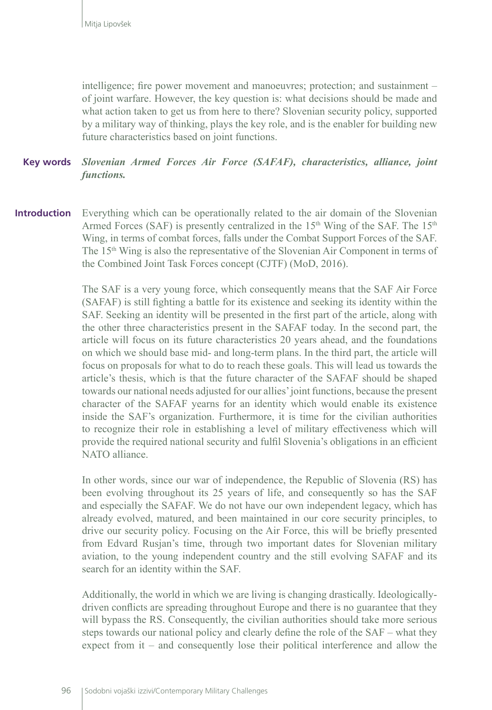intelligence; fire power movement and manoeuvres; protection; and sustainment – of joint warfare. However, the key question is: what decisions should be made and what action taken to get us from here to there? Slovenian security policy, supported by a military way of thinking, plays the key role, and is the enabler for building new future characteristics based on joint functions.

#### *Slovenian Armed Forces Air Force (SAFAF), characteristics, alliance, joint functions.* **Key words**

Everything which can be operationally related to the air domain of the Slovenian Armed Forces (SAF) is presently centralized in the  $15<sup>th</sup>$  Wing of the SAF. The  $15<sup>th</sup>$ Wing, in terms of combat forces, falls under the Combat Support Forces of the SAF. The  $15<sup>th</sup>$  Wing is also the representative of the Slovenian Air Component in terms of the Combined Joint Task Forces concept (CJTF) (MoD, 2016). **Introduction**

> The SAF is a very young force, which consequently means that the SAF Air Force (SAFAF) is still fighting a battle for its existence and seeking its identity within the SAF. Seeking an identity will be presented in the first part of the article, along with the other three characteristics present in the SAFAF today. In the second part, the article will focus on its future characteristics 20 years ahead, and the foundations on which we should base mid- and long-term plans. In the third part, the article will focus on proposals for what to do to reach these goals. This will lead us towards the article's thesis, which is that the future character of the SAFAF should be shaped towards our national needs adjusted for our allies' joint functions, because the present character of the SAFAF yearns for an identity which would enable its existence inside the SAF's organization. Furthermore, it is time for the civilian authorities to recognize their role in establishing a level of military effectiveness which will provide the required national security and fulfil Slovenia's obligations in an efficient NATO alliance.

> In other words, since our war of independence, the Republic of Slovenia (RS) has been evolving throughout its 25 years of life, and consequently so has the SAF and especially the SAFAF. We do not have our own independent legacy, which has already evolved, matured, and been maintained in our core security principles, to drive our security policy. Focusing on the Air Force, this will be briefly presented from Edvard Rusjan's time, through two important dates for Slovenian military aviation, to the young independent country and the still evolving SAFAF and its search for an identity within the SAF.

> Additionally, the world in which we are living is changing drastically. Ideologicallydriven conflicts are spreading throughout Europe and there is no guarantee that they will bypass the RS. Consequently, the civilian authorities should take more serious steps towards our national policy and clearly define the role of the SAF – what they expect from it – and consequently lose their political interference and allow the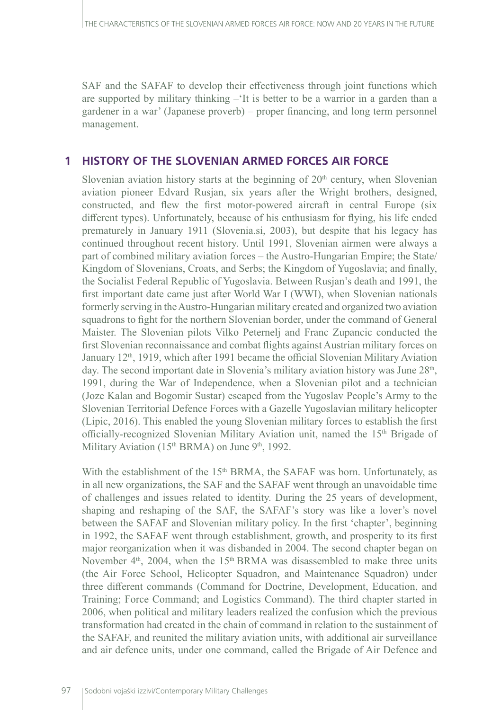SAF and the SAFAF to develop their effectiveness through joint functions which are supported by military thinking –'It is better to be a warrior in a garden than a gardener in a war' (Japanese proverb) – proper financing, and long term personnel management.

### **1 HISTORY OF THE SLOVENIAN ARMED FORCES AIR FORCE**

Slovenian aviation history starts at the beginning of  $20<sup>th</sup>$  century, when Slovenian aviation pioneer Edvard Rusjan, six years after the Wright brothers, designed, constructed, and flew the first motor-powered aircraft in central Europe (six different types). Unfortunately, because of his enthusiasm for flying, his life ended prematurely in January 1911 (Slovenia.si, 2003), but despite that his legacy has continued throughout recent history. Until 1991, Slovenian airmen were always a part of combined military aviation forces – the Austro-Hungarian Empire; the State/ Kingdom of Slovenians, Croats, and Serbs; the Kingdom of Yugoslavia; and finally, the Socialist Federal Republic of Yugoslavia. Between Rusjan's death and 1991, the first important date came just after World War I (WWI), when Slovenian nationals formerly serving in the Austro-Hungarian military created and organized two aviation squadrons to fight for the northern Slovenian border, under the command of General Maister. The Slovenian pilots Vilko Peternelj and Franc Zupancic conducted the first Slovenian reconnaissance and combat flights against Austrian military forces on January 12th, 1919, which after 1991 became the official Slovenian Military Aviation day. The second important date in Slovenia's military aviation history was June  $28<sup>th</sup>$ , 1991, during the War of Independence, when a Slovenian pilot and a technician (Joze Kalan and Bogomir Sustar) escaped from the Yugoslav People's Army to the Slovenian Territorial Defence Forces with a Gazelle Yugoslavian military helicopter (Lipic, 2016). This enabled the young Slovenian military forces to establish the first officially-recognized Slovenian Military Aviation unit, named the 15th Brigade of Military Aviation (15<sup>th</sup> BRMA) on June 9<sup>th</sup>, 1992.

With the establishment of the  $15<sup>th</sup>$  BRMA, the SAFAF was born. Unfortunately, as in all new organizations, the SAF and the SAFAF went through an unavoidable time of challenges and issues related to identity. During the 25 years of development, shaping and reshaping of the SAF, the SAFAF's story was like a lover's novel between the SAFAF and Slovenian military policy. In the first 'chapter', beginning in 1992, the SAFAF went through establishment, growth, and prosperity to its first major reorganization when it was disbanded in 2004. The second chapter began on November  $4<sup>th</sup>$ , 2004, when the  $15<sup>th</sup>$  BRMA was disassembled to make three units (the Air Force School, Helicopter Squadron, and Maintenance Squadron) under three different commands (Command for Doctrine, Development, Education, and Training; Force Command; and Logistics Command). The third chapter started in 2006, when political and military leaders realized the confusion which the previous transformation had created in the chain of command in relation to the sustainment of the SAFAF, and reunited the military aviation units, with additional air surveillance and air defence units, under one command, called the Brigade of Air Defence and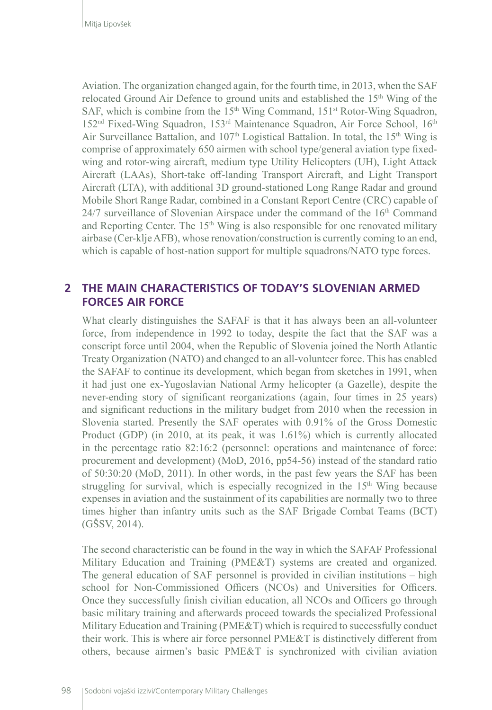Aviation. The organization changed again, for the fourth time, in 2013, when the SAF relocated Ground Air Defence to ground units and established the 15<sup>th</sup> Wing of the SAF, which is combine from the  $15<sup>th</sup>$  Wing Command,  $151<sup>st</sup>$  Rotor-Wing Squadron, 152<sup>nd</sup> Fixed-Wing Squadron, 153<sup>rd</sup> Maintenance Squadron, Air Force School, 16<sup>th</sup> Air Surveillance Battalion, and  $107<sup>th</sup>$  Logistical Battalion. In total, the 15<sup>th</sup> Wing is comprise of approximately 650 airmen with school type/general aviation type fixedwing and rotor-wing aircraft, medium type Utility Helicopters (UH), Light Attack Aircraft (LAAs), Short-take off-landing Transport Aircraft, and Light Transport Aircraft (LTA), with additional 3D ground-stationed Long Range Radar and ground Mobile Short Range Radar, combined in a Constant Report Centre (CRC) capable of  $24/7$  surveillance of Slovenian Airspace under the command of the  $16<sup>th</sup>$  Command and Reporting Center. The  $15<sup>th</sup>$  Wing is also responsible for one renovated military airbase (Cer-klje AFB), whose renovation/construction is currently coming to an end, which is capable of host-nation support for multiple squadrons/NATO type forces.

# **2 THE MAIN CHARACTERISTICS OF TODAY'S SLOVENIAN ARMED FORCES AIR FORCE**

What clearly distinguishes the SAFAF is that it has always been an all-volunteer force, from independence in 1992 to today, despite the fact that the SAF was a conscript force until 2004, when the Republic of Slovenia joined the North Atlantic Treaty Organization (NATO) and changed to an all-volunteer force. This has enabled the SAFAF to continue its development, which began from sketches in 1991, when it had just one ex-Yugoslavian National Army helicopter (a Gazelle), despite the never-ending story of significant reorganizations (again, four times in 25 years) and significant reductions in the military budget from 2010 when the recession in Slovenia started. Presently the SAF operates with 0.91% of the Gross Domestic Product (GDP) (in 2010, at its peak, it was 1.61%) which is currently allocated in the percentage ratio 82:16:2 (personnel: operations and maintenance of force: procurement and development) (MoD, 2016, pp54-56) instead of the standard ratio of 50:30:20 (MoD, 2011). In other words, in the past few years the SAF has been struggling for survival, which is especially recognized in the  $15<sup>th</sup>$  Wing because expenses in aviation and the sustainment of its capabilities are normally two to three times higher than infantry units such as the SAF Brigade Combat Teams (BCT) (GŠSV, 2014).

The second characteristic can be found in the way in which the SAFAF Professional Military Education and Training (PME&T) systems are created and organized. The general education of SAF personnel is provided in civilian institutions – high school for Non-Commissioned Officers (NCOs) and Universities for Officers. Once they successfully finish civilian education, all NCOs and Officers go through basic military training and afterwards proceed towards the specialized Professional Military Education and Training (PME&T) which is required to successfully conduct their work. This is where air force personnel PME&T is distinctively different from others, because airmen's basic PME&T is synchronized with civilian aviation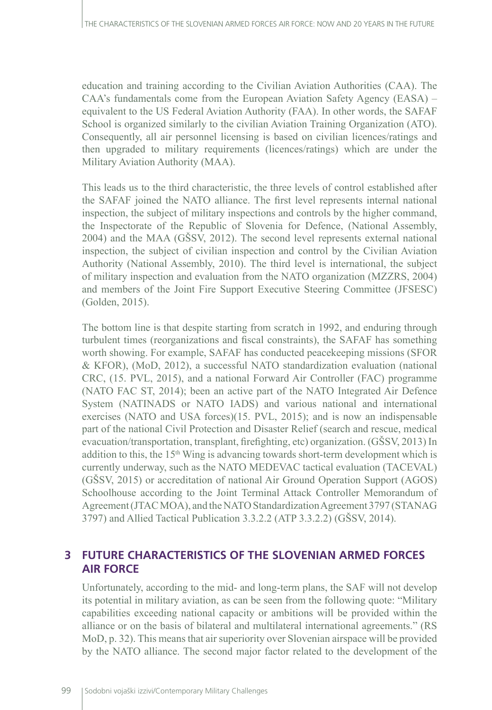education and training according to the Civilian Aviation Authorities (CAA). The CAA's fundamentals come from the European Aviation Safety Agency (EASA) – equivalent to the US Federal Aviation Authority (FAA). In other words, the SAFAF School is organized similarly to the civilian Aviation Training Organization (ATO). Consequently, all air personnel licensing is based on civilian licences/ratings and then upgraded to military requirements (licences/ratings) which are under the Military Aviation Authority (MAA).

This leads us to the third characteristic, the three levels of control established after the SAFAF joined the NATO alliance. The first level represents internal national inspection, the subject of military inspections and controls by the higher command, the Inspectorate of the Republic of Slovenia for Defence, (National Assembly, 2004) and the MAA (GŠSV, 2012). The second level represents external national inspection, the subject of civilian inspection and control by the Civilian Aviation Authority (National Assembly, 2010). The third level is international, the subject of military inspection and evaluation from the NATO organization (MZZRS, 2004) and members of the Joint Fire Support Executive Steering Committee (JFSESC) (Golden, 2015).

The bottom line is that despite starting from scratch in 1992, and enduring through turbulent times (reorganizations and fiscal constraints), the SAFAF has something worth showing. For example, SAFAF has conducted peacekeeping missions (SFOR & KFOR), (MoD, 2012), a successful NATO standardization evaluation (national CRC, (15. PVL, 2015), and a national Forward Air Controller (FAC) programme (NATO FAC ST, 2014); been an active part of the NATO Integrated Air Defence System (NATINADS or NATO IADS) and various national and international exercises (NATO and USA forces)(15. PVL, 2015); and is now an indispensable part of the national Civil Protection and Disaster Relief (search and rescue, medical evacuation/transportation, transplant, firefighting, etc) organization. (GŠSV, 2013) In addition to this, the 15th Wing is advancing towards short-term development which is currently underway, such as the NATO MEDEVAC tactical evaluation (TACEVAL) (GŠSV, 2015) or accreditation of national Air Ground Operation Support (AGOS) Schoolhouse according to the Joint Terminal Attack Controller Memorandum of Agreement (JTAC MOA), and the NATO Standardization Agreement 3797 (STANAG 3797) and Allied Tactical Publication 3.3.2.2 (ATP 3.3.2.2) (GŠSV, 2014).

## **3 FUTURE CHARACTERISTICS OF THE SLOVENIAN ARMED FORCES AIR FORCE**

Unfortunately, according to the mid- and long-term plans, the SAF will not develop its potential in military aviation, as can be seen from the following quote: "Military capabilities exceeding national capacity or ambitions will be provided within the alliance or on the basis of bilateral and multilateral international agreements." (RS MoD, p. 32). This means that air superiority over Slovenian airspace will be provided by the NATO alliance. The second major factor related to the development of the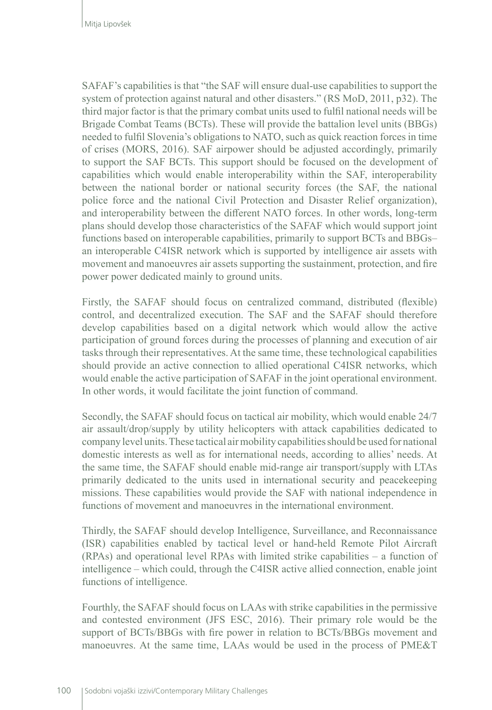SAFAF's capabilities is that "the SAF will ensure dual-use capabilities to support the system of protection against natural and other disasters." (RS MoD, 2011, p32). The third major factor is that the primary combat units used to fulfil national needs will be Brigade Combat Teams (BCTs). These will provide the battalion level units (BBGs) needed to fulfil Slovenia's obligations to NATO, such as quick reaction forces in time of crises (MORS, 2016). SAF airpower should be adjusted accordingly, primarily to support the SAF BCTs. This support should be focused on the development of capabilities which would enable interoperability within the SAF, interoperability between the national border or national security forces (the SAF, the national police force and the national Civil Protection and Disaster Relief organization), and interoperability between the different NATO forces. In other words, long-term plans should develop those characteristics of the SAFAF which would support joint functions based on interoperable capabilities, primarily to support BCTs and BBGs– an interoperable C4ISR network which is supported by intelligence air assets with movement and manoeuvres air assets supporting the sustainment, protection, and fire power power dedicated mainly to ground units.

Firstly, the SAFAF should focus on centralized command, distributed (flexible) control, and decentralized execution. The SAF and the SAFAF should therefore develop capabilities based on a digital network which would allow the active participation of ground forces during the processes of planning and execution of air tasks through their representatives. At the same time, these technological capabilities should provide an active connection to allied operational C4ISR networks, which would enable the active participation of SAFAF in the joint operational environment. In other words, it would facilitate the joint function of command.

Secondly, the SAFAF should focus on tactical air mobility, which would enable 24/7 air assault/drop/supply by utility helicopters with attack capabilities dedicated to company level units. These tactical air mobility capabilities should be used for national domestic interests as well as for international needs, according to allies' needs. At the same time, the SAFAF should enable mid-range air transport/supply with LTAs primarily dedicated to the units used in international security and peacekeeping missions. These capabilities would provide the SAF with national independence in functions of movement and manoeuvres in the international environment.

Thirdly, the SAFAF should develop Intelligence, Surveillance, and Reconnaissance (ISR) capabilities enabled by tactical level or hand-held Remote Pilot Aircraft (RPAs) and operational level RPAs with limited strike capabilities – a function of intelligence – which could, through the C4ISR active allied connection, enable joint functions of intelligence.

Fourthly, the SAFAF should focus on LAAs with strike capabilities in the permissive and contested environment (JFS ESC, 2016). Their primary role would be the support of BCTs/BBGs with fire power in relation to BCTs/BBGs movement and manoeuvres. At the same time, LAAs would be used in the process of PME&T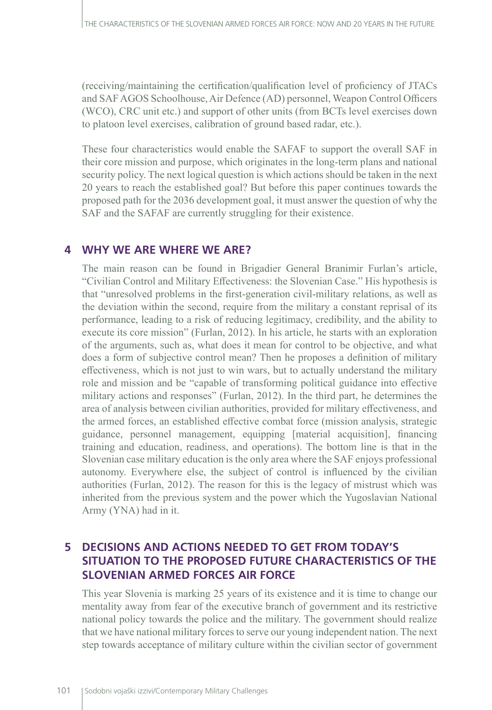(receiving/maintaining the certification/qualification level of proficiency of JTACs and SAF AGOS Schoolhouse, Air Defence (AD) personnel, Weapon Control Officers (WCO), CRC unit etc.) and support of other units (from BCTs level exercises down to platoon level exercises, calibration of ground based radar, etc.).

These four characteristics would enable the SAFAF to support the overall SAF in their core mission and purpose, which originates in the long-term plans and national security policy. The next logical question is which actions should be taken in the next 20 years to reach the established goal? But before this paper continues towards the proposed path for the 2036 development goal, it must answer the question of why the SAF and the SAFAF are currently struggling for their existence.

### **4 WHY WE ARE WHERE WE ARE?**

The main reason can be found in Brigadier General Branimir Furlan's article, "Civilian Control and Military Effectiveness: the Slovenian Case." His hypothesis is that "unresolved problems in the first-generation civil-military relations, as well as the deviation within the second, require from the military a constant reprisal of its performance, leading to a risk of reducing legitimacy, credibility, and the ability to execute its core mission" (Furlan, 2012). In his article, he starts with an exploration of the arguments, such as, what does it mean for control to be objective, and what does a form of subjective control mean? Then he proposes a definition of military effectiveness, which is not just to win wars, but to actually understand the military role and mission and be "capable of transforming political guidance into effective military actions and responses" (Furlan, 2012). In the third part, he determines the area of analysis between civilian authorities, provided for military effectiveness, and the armed forces, an established effective combat force (mission analysis, strategic guidance, personnel management, equipping [material acquisition], financing training and education, readiness, and operations). The bottom line is that in the Slovenian case military education is the only area where the SAF enjoys professional autonomy. Everywhere else, the subject of control is influenced by the civilian authorities (Furlan, 2012). The reason for this is the legacy of mistrust which was inherited from the previous system and the power which the Yugoslavian National Army (YNA) had in it.

# **5 DECISIONS AND ACTIONS NEEDED TO GET FROM TODAY'S SITUATION TO THE PROPOSED FUTURE CHARACTERISTICS OF THE SLOVENIAN ARMED FORCES AIR FORCE**

This year Slovenia is marking 25 years of its existence and it is time to change our mentality away from fear of the executive branch of government and its restrictive national policy towards the police and the military. The government should realize that we have national military forces to serve our young independent nation. The next step towards acceptance of military culture within the civilian sector of government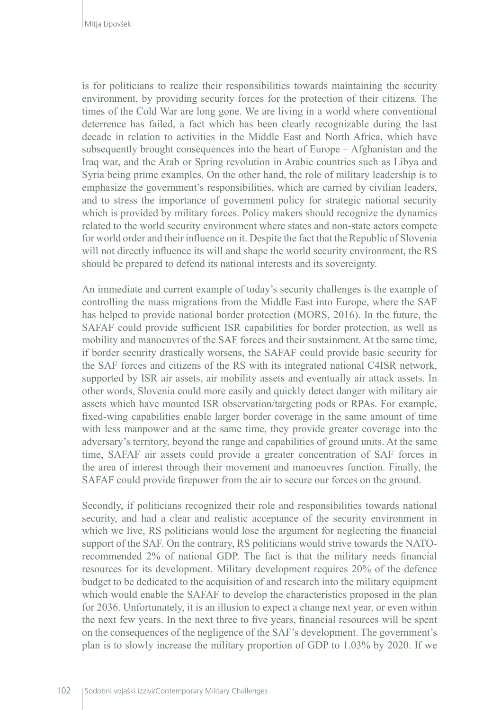is for politicians to realize their responsibilities towards maintaining the security environment, by providing security forces for the protection of their citizens. The times of the Cold War are long gone. We are living in a world where conventional deterrence has failed, a fact which has been clearly recognizable during the last decade in relation to activities in the Middle East and North Africa, which have subsequently brought consequences into the heart of Europe – Afghanistan and the Iraq war, and the Arab or Spring revolution in Arabic countries such as Libya and Syria being prime examples. On the other hand, the role of military leadership is to emphasize the government's responsibilities, which are carried by civilian leaders, and to stress the importance of government policy for strategic national security which is provided by military forces. Policy makers should recognize the dynamics related to the world security environment where states and non-state actors compete for world order and their influence on it. Despite the fact that the Republic of Slovenia will not directly influence its will and shape the world security environment, the RS should be prepared to defend its national interests and its sovereignty.

An immediate and current example of today's security challenges is the example of controlling the mass migrations from the Middle East into Europe, where the SAF has helped to provide national border protection (MORS, 2016). In the future, the SAFAF could provide sufficient ISR capabilities for border protection, as well as mobility and manoeuvres of the SAF forces and their sustainment. At the same time, if border security drastically worsens, the SAFAF could provide basic security for the SAF forces and citizens of the RS with its integrated national C4ISR network, supported by ISR air assets, air mobility assets and eventually air attack assets. In other words, Slovenia could more easily and quickly detect danger with military air assets which have mounted ISR observation/targeting pods or RPAs. For example, fixed-wing capabilities enable larger border coverage in the same amount of time with less manpower and at the same time, they provide greater coverage into the adversary's territory, beyond the range and capabilities of ground units. At the same time, SAFAF air assets could provide a greater concentration of SAF forces in the area of interest through their movement and manoeuvres function. Finally, the SAFAF could provide firepower from the air to secure our forces on the ground.

Secondly, if politicians recognized their role and responsibilities towards national security, and had a clear and realistic acceptance of the security environment in which we live, RS politicians would lose the argument for neglecting the financial support of the SAF. On the contrary, RS politicians would strive towards the NATOrecommended 2% of national GDP. The fact is that the military needs financial resources for its development. Military development requires 20% of the defence budget to be dedicated to the acquisition of and research into the military equipment which would enable the SAFAF to develop the characteristics proposed in the plan for 2036. Unfortunately, it is an illusion to expect a change next year, or even within the next few years. In the next three to five years, financial resources will be spent on the consequences of the negligence of the SAF's development. The government's plan is to slowly increase the military proportion of GDP to 1.03% by 2020. If we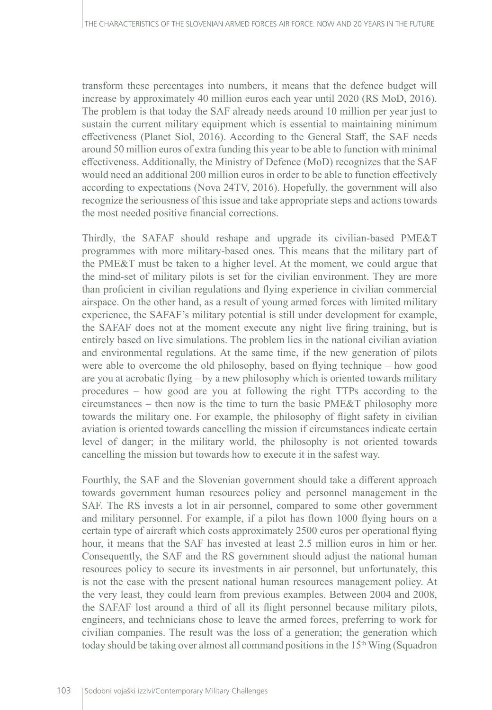transform these percentages into numbers, it means that the defence budget will increase by approximately 40 million euros each year until 2020 (RS MoD, 2016). The problem is that today the SAF already needs around 10 million per year just to sustain the current military equipment which is essential to maintaining minimum effectiveness (Planet Siol, 2016). According to the General Staff, the SAF needs around 50 million euros of extra funding this year to be able to function with minimal effectiveness. Additionally, the Ministry of Defence (MoD) recognizes that the SAF would need an additional 200 million euros in order to be able to function effectively according to expectations (Nova 24TV, 2016). Hopefully, the government will also recognize the seriousness of this issue and take appropriate steps and actions towards the most needed positive financial corrections.

Thirdly, the SAFAF should reshape and upgrade its civilian-based PME&T programmes with more military-based ones. This means that the military part of the PME&T must be taken to a higher level. At the moment, we could argue that the mind-set of military pilots is set for the civilian environment. They are more than proficient in civilian regulations and flying experience in civilian commercial airspace. On the other hand, as a result of young armed forces with limited military experience, the SAFAF's military potential is still under development for example, the SAFAF does not at the moment execute any night live firing training, but is entirely based on live simulations. The problem lies in the national civilian aviation and environmental regulations. At the same time, if the new generation of pilots were able to overcome the old philosophy, based on flying technique – how good are you at acrobatic flying – by a new philosophy which is oriented towards military procedures – how good are you at following the right TTPs according to the circumstances – then now is the time to turn the basic PME&T philosophy more towards the military one. For example, the philosophy of flight safety in civilian aviation is oriented towards cancelling the mission if circumstances indicate certain level of danger; in the military world, the philosophy is not oriented towards cancelling the mission but towards how to execute it in the safest way.

Fourthly, the SAF and the Slovenian government should take a different approach towards government human resources policy and personnel management in the SAF. The RS invests a lot in air personnel, compared to some other government and military personnel. For example, if a pilot has flown 1000 flying hours on a certain type of aircraft which costs approximately 2500 euros per operational flying hour, it means that the SAF has invested at least 2.5 million euros in him or her. Consequently, the SAF and the RS government should adjust the national human resources policy to secure its investments in air personnel, but unfortunately, this is not the case with the present national human resources management policy. At the very least, they could learn from previous examples. Between 2004 and 2008, the SAFAF lost around a third of all its flight personnel because military pilots, engineers, and technicians chose to leave the armed forces, preferring to work for civilian companies. The result was the loss of a generation; the generation which today should be taking over almost all command positions in the  $15<sup>th</sup>$  Wing (Squadron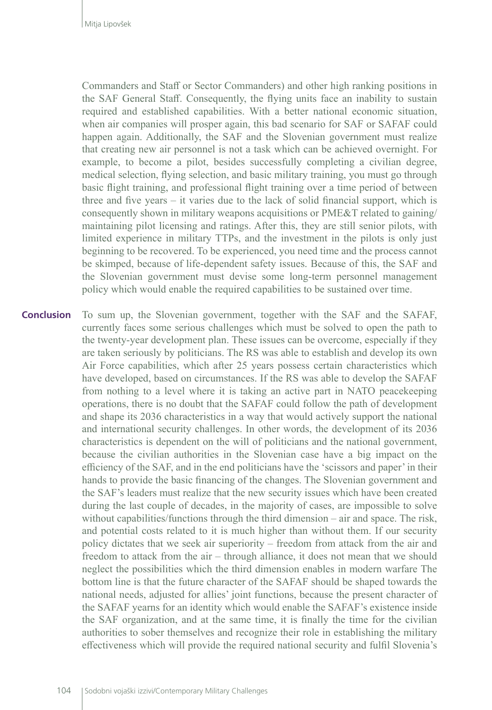Commanders and Staff or Sector Commanders) and other high ranking positions in the SAF General Staff. Consequently, the flying units face an inability to sustain required and established capabilities. With a better national economic situation, when air companies will prosper again, this bad scenario for SAF or SAFAF could happen again. Additionally, the SAF and the Slovenian government must realize that creating new air personnel is not a task which can be achieved overnight. For example, to become a pilot, besides successfully completing a civilian degree, medical selection, flying selection, and basic military training, you must go through basic flight training, and professional flight training over a time period of between three and five years – it varies due to the lack of solid financial support, which is consequently shown in military weapons acquisitions or PME&T related to gaining/ maintaining pilot licensing and ratings. After this, they are still senior pilots, with limited experience in military TTPs, and the investment in the pilots is only just beginning to be recovered. To be experienced, you need time and the process cannot be skimped, because of life-dependent safety issues. Because of this, the SAF and the Slovenian government must devise some long-term personnel management policy which would enable the required capabilities to be sustained over time.

To sum up, the Slovenian government, together with the SAF and the SAFAF, currently faces some serious challenges which must be solved to open the path to the twenty-year development plan. These issues can be overcome, especially if they are taken seriously by politicians. The RS was able to establish and develop its own Air Force capabilities, which after 25 years possess certain characteristics which have developed, based on circumstances. If the RS was able to develop the SAFAF from nothing to a level where it is taking an active part in NATO peacekeeping operations, there is no doubt that the SAFAF could follow the path of development and shape its 2036 characteristics in a way that would actively support the national and international security challenges. In other words, the development of its 2036 characteristics is dependent on the will of politicians and the national government, because the civilian authorities in the Slovenian case have a big impact on the efficiency of the SAF, and in the end politicians have the 'scissors and paper' in their hands to provide the basic financing of the changes. The Slovenian government and the SAF's leaders must realize that the new security issues which have been created during the last couple of decades, in the majority of cases, are impossible to solve without capabilities/functions through the third dimension – air and space. The risk, and potential costs related to it is much higher than without them. If our security policy dictates that we seek air superiority – freedom from attack from the air and freedom to attack from the air – through alliance, it does not mean that we should neglect the possibilities which the third dimension enables in modern warfare The bottom line is that the future character of the SAFAF should be shaped towards the national needs, adjusted for allies' joint functions, because the present character of the SAFAF yearns for an identity which would enable the SAFAF's existence inside the SAF organization, and at the same time, it is finally the time for the civilian authorities to sober themselves and recognize their role in establishing the military effectiveness which will provide the required national security and fulfil Slovenia's **Conclusion**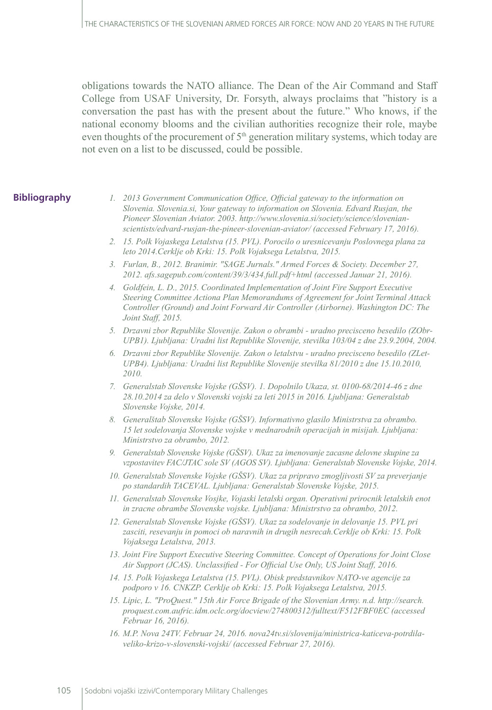obligations towards the NATO alliance. The Dean of the Air Command and Staff College from USAF University, Dr. Forsyth, always proclaims that "history is a conversation the past has with the present about the future." Who knows, if the national economy blooms and the civilian authorities recognize their role, maybe even thoughts of the procurement of  $5<sup>th</sup>$  generation military systems, which today are not even on a list to be discussed, could be possible.

#### **Bibliography**

- *1. 2013 Government Communication Office, Official gateway to the information on Slovenia. Slovenia.si, Your gateway to information on Slovenia. Edvard Rusjan, the Pioneer Slovenian Aviator. 2003. http://www.slovenia.si/society/science/slovenianscientists/edvard-rusjan-the-pineer-slovenian-aviator/ (accessed February 17, 2016).*
- *2. 15. Polk Vojaskega Letalstva (15. PVL). Porocilo o uresnicevanju Poslovnega plana za leto 2014.Cerklje ob Krki: 15. Polk Vojaksega Letalstva, 2015.*
- *3. Furlan, B., 2012. Branimir. "SAGE Jurnals." Armed Forces & Society. December 27, 2012. afs.sagepub.com/content/39/3/434.full.pdf+html (accessed Januar 21, 2016).*
- *4. Goldfein, L. D., 2015. Coordinated Implementation of Joint Fire Support Executive Steering Committee Actiona Plan Memorandums of Agreement for Joint Terminal Attack Controller (Ground) and Joint Forward Air Controller (Airborne). Washington DC: The Joint Staff, 2015.*
- *5. Drzavni zbor Republike Slovenije. Zakon o obrambi uradno precisceno besedilo (ZObr-UPB1). Ljubljana: Uradni list Republike Slovenije, stevilka 103/04 z dne 23.9.2004, 2004.*
- *6. Drzavni zbor Republike Slovenije. Zakon o letalstvu uradno precisceno besedilo (ZLet-UPB4). Ljubljana: Uradni list Republike Slovenije stevilka 81/2010 z dne 15.10.2010, 2010.*
- *7. Generalstab Slovenske Vojske (GŠSV). 1. Dopolnilo Ukaza, st. 0100-68/2014-46 z dne 28.10.2014 za delo v Slovenski vojski za leti 2015 in 2016. Ljubljana: Generalstab Slovenske Vojske, 2014.*
- *8. Generalštab Slovenske Vojske (GŠSV). Informativno glasilo Ministrstva za obrambo. 15 let sodelovanja Slovenske vojske v mednarodnih operacijah in misijah. Ljubljana: Ministrstvo za obrambo, 2012.*
- *9. Generalstab Slovenske Vojske (GŠSV). Ukaz za imenovanje zacasne delovne skupine za vzpostavitev FAC/JTAC sole SV (AGOS SV). Ljubljana: Generalstab Slovenske Vojske, 2014.*
- *10. Generalstab Slovenske Vojske (GŠSV). Ukaz za pripravo zmogljivosti SV za preverjanje po standardih TACEVAL. Ljubljana: Generalstab Slovenske Vojske, 2015.*
- *11. Generalstab Slovenske Vosjke, Vojaski letalski organ. Operativni prirocnik letalskih enot in zracne obrambe Slovenske vojske. Ljubljana: Ministrstvo za obrambo, 2012.*
- *12. Generalstab Slovenske Vojske (GŠSV). Ukaz za sodelovanje in delovanje 15. PVL pri zasciti, resevanju in pomoci ob naravnih in drugih nesrecah.Cerklje ob Krki: 15. Polk Vojaksega Letalstva, 2013.*
- *13. Joint Fire Support Executive Steering Committee. Concept of Operations for Joint Close Air Support (JCAS). Unclassified - For Official Use Only, US Joint Staff, 2016.*
- *14. 15. Polk Vojaskega Letalstva (15. PVL). Obisk predstavnikov NATO-ve agencije za podporo v 16. CNKZP. Cerklje ob Krki: 15. Polk Vojaksega Letalstva, 2015.*
- *15. Lipic, L. "ProQuest." 15th Air Force Brigade of the Slovenian Army. n.d. http://search. proquest.com.aufric.idm.oclc.org/docview/274800312/fulltext/F512FBF0EC (accessed Februar 16, 2016).*
- *16. M.P. Nova 24TV. Februar 24, 2016. nova24tv.si/slovenija/ministrica-katiceva-potrdilaveliko-krizo-v-slovenski-vojski/ (accessed Februar 27, 2016).*